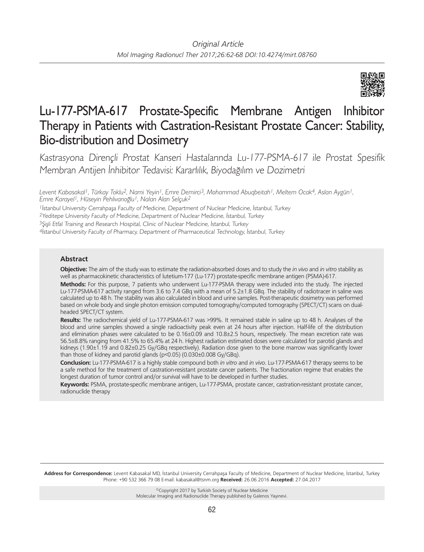

# Lu-177-PSMA-617 Prostate-Specific Membrane Antigen Inhibitor Therapy in Patients with Castration-Resistant Prostate Cancer: Stability, Bio-distribution and Dosimetry

Kastrasyona Dirençli Prostat Kanseri Hastalarında Lu-177-PSMA-617 ile Prostat Spesifik Membran Antijen İnhibitor Tedavisi: Kararlılık, Biyodağılım ve Dozimetri

*Levent Kabasakal1, Türkay Toklu2, Nami Yeyin1, Emre Demirci3, Mohammad Abuqbeitah1, Meltem Ocak4, Aslan Aygün1, Emre Karayel1, Hüseyin Pehlivanoğlu1, Nalan Alan Selçuk2*

<sup>1</sup>İstanbul University Cerrahpaşa Faculty of Medicine, Department of Nuclear Medicine, İstanbul, Turkey

<sup>2</sup>Yeditepe University Faculty of Medicine, Department of Nuclear Medicine, İstanbul, Turkey

<sup>3</sup>Şişli Etfal Training and Research Hospital, Clinic of Nuclear Medicine, İstanbul, Turkey

<sup>4</sup>İstanbul University Faculty of Pharmacy, Department of Pharmaceutical Technology, İstanbul, Turkey

# **Abstract**

**Objective:** The aim of the study was to estimate the radiation-absorbed doses and to study the *in vivo* and *in vitro* stability as well as pharmacokinetic characteristics of lutetium-177 (Lu-177) prostate-specific membrane antigen (PSMA)-617.

**Methods:** For this purpose, 7 patients who underwent Lu-177-PSMA therapy were included into the study. The injected Lu-177-PSMA-617 activity ranged from 3.6 to 7.4 GBq with a mean of 5.2±1.8 GBq. The stability of radiotracer in saline was calculated up to 48 h. The stability was also calculated in blood and urine samples. Post-therapeutic dosimetry was performed based on whole body and single photon emission computed tomography/computed tomography (SPECT/CT) scans on dualheaded SPECT/CT system.

**Results:** The radiochemical yield of Lu-177-PSMA-617 was >99%. It remained stable in saline up to 48 h. Analyses of the blood and urine samples showed a single radioactivity peak even at 24 hours after injection. Half-life of the distribution and elimination phases were calculated to be 0.16±0.09 and 10.8±2.5 hours, respectively. The mean excretion rate was 56.5±8.8% ranging from 41.5% to 65.4% at 24 h. Highest radiation estimated doses were calculated for parotid glands and kidneys (1.90±1.19 and 0.82±0.25 Gy/GBq respectively). Radiation dose given to the bone marrow was significantly lower than those of kidney and parotid glands (p<0.05) (0.030±0.008 Gy/GBq).

**Conclusion:** Lu-177-PSMA-617 is a highly stable compound both *in vitro* and *in vivo*. Lu-177-PSMA-617 therapy seems to be a safe method for the treatment of castration-resistant prostate cancer patients. The fractionation regime that enables the longest duration of tumor control and/or survival will have to be developed in further studies.

**Keywords:** PSMA, prostate-specific membrane antigen, Lu-177-PSMA, prostate cancer, castration-resistant prostate cancer, radionuclide therapy

**Address for Correspondence:** Levent Kabasakal MD, İstanbul University Cerrahpaşa Faculty of Medicine, Department of Nuclear Medicine, İstanbul, Turkey Phone: +90 532 366 79 08 E-mail: kabasakal@tsnm.org **Received:** 26.06.2016 **Accepted:** 27.04.2017

> ©Copyright 2017 by Turkish Society of Nuclear Medicine Molecular Imaging and Radionuclide Therapy published by Galenos Yayınevi.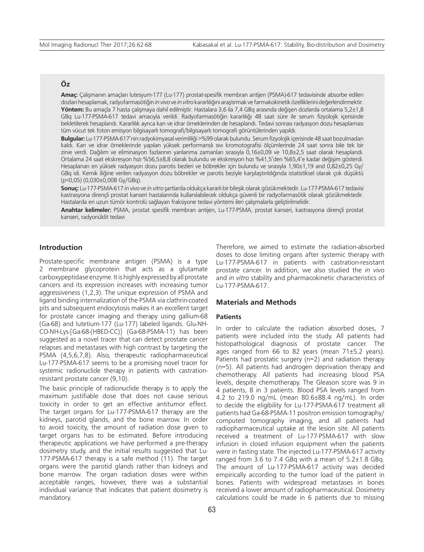# **Öz**

**Amaç:** Çalışmanın amaçları lutesyum-177 (Lu-177) prostat-spesifik membran antijen (PSMA)-617 tedavisinde absorbe edilen dozları hesaplamak, radyofarmasötiğin *in vivo* ve *in vitro* kararlılığını araştırmak ve farmakokinetik özelliklerini değerlendirmektir. **Yöntem:** Bu amaçla 7 hasta çalışmaya dahil edilmiştir. Hastalara 3,6 ila 7,4 GBq arasında değişen dozlarda ortalama 5,2±1,8 GBq Lu-177-PSMA-617 tedavi amacıyla verildi. Radyofarmasötiğin kararlılığı 48 saat süre ile serum fizyolojik içerisinde bekletilerek hesaplandı. Kararlılık ayrıca kan ve idrar örneklerinden de hesaplandı. Tedavi sonrası radyasyon dozu hesaplaması tüm vücut tek foton emisyon bilgisayarlı tomografi/bilgisayarlı tomografi görüntülerinden yapıldı.

**Bulgular:** Lu-177-PSMA-617'nin radyokimyasal verimliliği >%99 olarak bulundu. Serum fizyolojik içerisinde 48 saat bozulmadan kaldı. Kan ve idrar örneklerinde yapılan yüksek performanslı sıvı kromotografisi ölçümlerinde 24 saat sonra bile tek bir zirve verdi. Dağılım ve eliminasyon fazlarının yarılanma zamanları sırasıyla 0,16±0,09 ve 10,8±2,5 saat olarak hesaplandı. Ortalama 24 saat ekskresyon hızı %56,5±8,8 olarak bulundu ve ekskresyon hızı %41,5'den %65,4'e kadar değişim gösterdi. Hesaplanan en yüksek radyasyon dozu parotis bezleri ve böbrekler için bulundu ve sırasıyla 1,90±1,19 and 0,82±0,25 Gy/ GBq idi. Kemik iliğine verilen radyasyon dozu böbrekler ve parotis beziyle karşılaştırıldığında istatistiksel olarak çok düşüktü (p<0,05) (0,030±0,008 Gy/GBq).

**Sonuç:** Lu-177-PSMA-617 *in vivo* ve *in vitro* şartlarda oldukça kararlı bir bileşik olarak gözükmektedir. Lu-177-PSMA-617 tedavisi kastrasyona dirençli prostat kanseri hastalarında kullanılabilecek oldukça güvenli bir radyofarmasötik olarak gözükmektedir. Hastalarda en uzun tümör kontrolü sağlayan fraksiyone tedavi yöntemi ileri çalışmalarla geliştirilmelidir.

**Anahtar kelimeler:** PSMA, prostat spesifik membran antijen, Lu-177-PSMA, prostat kanseri, kastrasyona dirençli prostat kanseri, radyonüklit tedavi

# **Introduction**

Prostate-specific membrane antigen (PSMA) is a type 2 membrane glycoprotein that acts as a glutamate carboxypeptidase enzyme. It is highly expressed by all prostate cancers and its expression increases with increasing tumor aggressiveness (1,2,3). The unique expression of PSMA and ligand binding internalization of the PSMA via clathrin-coated pits and subsequent endocytosis makes it an excellent target for prostate cancer imaging and therapy using gallium-68 (Ga-68) and lutetium-177 (Lu-177) labeled ligands. Glu-NH-CO-NH-Lys-[Ga-68-(HBED-CC)] (Ga-68-PSMA-11) has been suggested as a novel tracer that can detect prostate cancer relapses and metastases with high contrast by targeting the PSMA (4,5,6,7,8). Also, therapeutic radiopharmaceutical Lu-177-PSMA-617 seems to be a promising novel tracer for systemic radionuclide therapy in patients with castrationresistant prostate cancer (9,10).

The basic principle of radionuclide therapy is to apply the maximum justifiable dose that does not cause serious toxicity in order to get an effective antitumor effect. The target organs for Lu-177-PSMA-617 therapy are the kidneys, parotid glands, and the bone marrow. In order to avoid toxicity, the amount of radiation dose given to target organs has to be estimated. Before introducing therapeutic applications we have performed a pre-therapy dosimetry study, and the initial results suggested that Lu-177-PSMA-617 therapy is a safe method (11). The target organs were the parotid glands rather than kidneys and bone marrow. The organ radiation doses were within acceptable ranges, however, there was a substantial individual variance that indicates that patient dosimetry is mandatory.

Therefore, we aimed to estimate the radiation-absorbed doses to dose limiting organs after systemic therapy with Lu-177-PSMA-617 in patients with castration-resistant prostate cancer. In addition, we also studied the *in vivo*  and *in vitro* stability and pharmacokinetic characteristics of Lu-177-PSMA-617.

# **Materials and Methods**

#### **Patients**

In order to calculate the radiation absorbed doses, 7 patients were included into the study. All patients had histopathological diagnosis of prostate cancer. The ages ranged from 66 to 82 years (mean 71±5.2 years). Patients had prostatic surgery (n=2) and radiation therapy (n=5). All patients had androgen deprivation therapy and chemotherapy. All patients had increasing blood PSA levels, despite chemotherapy. The Gleason score was 9 in 4 patients, 8 in 3 patients. Blood PSA levels ranged from 4.2 to 219.0 ng/mL (mean 80.6±88.4 ng/mL). In order to decide the eligibility for Lu-177-PSMA-617 treatment all patients had Ga-68-PSMA-11 positron emission tomography/ computed tomography imaging, and all patients had radiopharmaceutical uptake at the lesion site. All patients received a treatment of Lu-177-PSMA-617 with slow infusion in closed infusion equipment when the patients were in fasting state. The injected Lu-177-PSMA-617 activity ranged from 3.6 to 7.4 GBq with a mean of  $5.2\pm1.8$  GBq. The amount of Lu-177-PSMA-617 activity was decided empirically according to the tumor load of the patient in bones. Patients with widespread metastases in bones received a lower amount of radiopharmaceutical. Dosimetry calculations could be made in 6 patients due to missing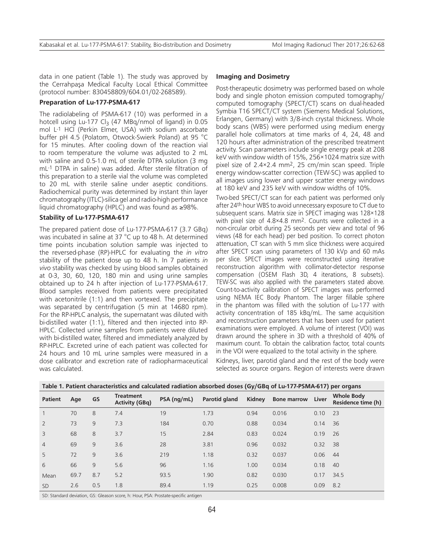data in one patient (Table 1). The study was approved by the Cerrahpaşa Medical Faculty Local Ethical Committee (protocol number: 830458809/604.01/02-268589).

### **Preparation of Lu-177-PSMA-617**

The radiolabeling of PSMA-617 (10) was performed in a hotcell using Lu-177 Cl<sub>3</sub> (47 MBq/nmol of ligand) in 0.05 mol L-1 HCl (Perkin Elmer, USA) with sodium ascorbate buffer pH 4.5 (Polatom, Otwock-Swierk Poland) at 95 °C for 15 minutes. After cooling down of the reaction vial to room temperature the volume was adjusted to 2 mL with saline and 0.5-1.0 mL of sterile DTPA solution (3 mg mL-1 DTPA in saline) was added. After sterile filtration of this preparation to a sterile vial the volume was completed to 20 mL with sterile saline under aseptic conditions. Radiochemical purity was determined by instant thin layer chromatography (ITLC)-silica gel and radio-high performance liquid chromatography (HPLC) and was found as ≥98%.

## **Stability of Lu-177-PSMA-617**

The prepared patient dose of Lu-177-PSMA-617 (3.7 GBq) was incubated in saline at 37 °C up to 48 h. At determined time points incubation solution sample was injected to the reversed-phase (RP)-HPLC for evaluating the *in vitro*  stability of the patient dose up to 48 h. In 7 patients *in vivo* stability was checked by using blood samples obtained at 0-3, 30, 60, 120, 180 min and using urine samples obtained up to 24 h after injection of Lu-177-PSMA-617. Blood samples received from patients were precipitated with acetonitrile (1:1) and then vortexed. The precipitate was separated by centrifugation (5 min at 14680 rpm). For the RP-HPLC analysis, the supernatant was diluted with bi-distilled water (1:1), filtered and then injected into RP-HPLC. Collected urine samples from patients were diluted with bi-distilled water, filtered and immediately analyzed by RP-HPLC. Excreted urine of each patient was collected for 24 hours and 10 mL urine samples were measured in a dose calibrator and excretion rate of radiopharmaceutical was calculated.

#### **Imaging and Dosimetry**

Post-therapeutic dosimetry was performed based on whole body and single photon emission computed tomography/ computed tomography (SPECT/CT) scans on dual-headed Symbia T16 SPECT/CT system (Siemens Medical Solutions, Erlangen, Germany) with 3/8-inch crystal thickness. Whole body scans (WBS) were performed using medium energy parallel hole collimators at time marks of 4, 24, 48 and 120 hours after administration of the prescribed treatment activity. Scan parameters include single energy peak at 208 keV with window width of 15%, 256×1024 matrix size with pixel size of 2.4×2.4 mm2, 25 cm/min scan speed. Triple energy window-scatter correction (TEW-SC) was applied to all images using lower and upper scatter energy windows at 180 keV and 235 keV with window widths of 10%.

Two-bed SPECT/CT scan for each patient was performed only after 24th hour WBS to avoid unnecessary exposure to CT due to subsequent scans. Matrix size in SPECT imaging was 128×128 with pixel size of 4.8×4.8 mm2. Counts were collected in a non-circular orbit during 25 seconds per view and total of 96 views (48 for each head) per bed position. To correct photon attenuation, CT scan with 5 mm slice thickness were acquired after SPECT scan using parameters of 130 kVp and 60 mAs per slice. SPECT images were reconstructed using iterative reconstruction algorithm with collimator-detector response compensation (OSEM Flash 3D, 4 iterations, 8 subsets). TEW-SC was also applied with the parameters stated above. Count-to-activity calibration of SPECT images was performed using NEMA IEC Body Phantom. The larger fillable sphere in the phantom was filled with the solution of Lu-177 with activity concentration of 185 kBq/mL. The same acquisition and reconstruction parameters that has been used for patient examinations were employed. A volume of interest (VOI) was drawn around the sphere in 3D with a threshold of 40% of maximum count. To obtain the calibration factor, total counts in the VOI were equalized to the total activity in the sphere.

Kidneys, liver, parotid gland and the rest of the body were selected as source organs. Region of interests were drawn

| Table 1. Patient characteristics and calculated radiation absorbed doses (Gy/GBq of Lu-177-PSMA-617) per organs |      |     |                                           |               |               |               |                    |       |                                         |  |  |
|-----------------------------------------------------------------------------------------------------------------|------|-----|-------------------------------------------|---------------|---------------|---------------|--------------------|-------|-----------------------------------------|--|--|
| <b>Patient</b>                                                                                                  | Age  | GS  | <b>Treatment</b><br><b>Activity (GBg)</b> | $PSA$ (ng/mL) | Parotid gland | <b>Kidney</b> | <b>Bone marrow</b> | Liver | <b>Whole Body</b><br>Residence time (h) |  |  |
|                                                                                                                 | 70   | 8   | 7.4                                       | 19            | 1.73          | 0.94          | 0.016              | 0.10  | 23                                      |  |  |
| $\overline{2}$                                                                                                  | 73   | 9   | 7.3                                       | 184           | 0.70          | 0.88          | 0.034              | 0.14  | 36                                      |  |  |
| 3                                                                                                               | 68   | 8   | 3.7                                       | 15            | 2.84          | 0.83          | 0.024              | 0.19  | 26                                      |  |  |
| $\overline{4}$                                                                                                  | 69   | 9   | 3.6                                       | 28            | 3.81          | 0.96          | 0.032              | 0.32  | 38                                      |  |  |
| 5                                                                                                               | 72   | 9   | 3.6                                       | 219           | 1.18          | 0.32          | 0.037              | 0.06  | 44                                      |  |  |
| 6                                                                                                               | 66   | 9   | 5.6                                       | 96            | 1.16          | 1.00          | 0.034              | 0.18  | 40                                      |  |  |
| Mean                                                                                                            | 69.7 | 8.7 | 5.2                                       | 93.5          | 1.90          | 0.82          | 0.030              | 0.17  | 34.5                                    |  |  |
| <b>SD</b>                                                                                                       | 2.6  | 0.5 | 1.8                                       | 89.4          | 1.19          | 0.25          | 0.008              | 0.09  | 8.2                                     |  |  |

SD: Standard deviation, GS: Gleason score, h: Hour, PSA: Prostate-specific antigen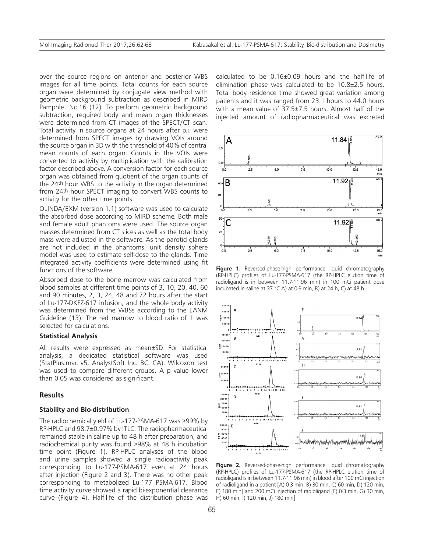over the source regions on anterior and posterior WBS images for all time points. Total counts for each source organ were determined by conjugate view method with geometric background subtraction as described in MIRD Pamphlet No.16 (12). To perform geometric background subtraction, required body and mean organ thicknesses were determined from CT images of the SPECT/CT scan. Total activity in source organs at 24 hours after p.i. were determined from SPECT images by drawing VOIs around the source organ in 3D with the threshold of 40% of central mean counts of each organ. Counts in the VOIs were converted to activity by multiplication with the calibration factor described above. A conversion factor for each source organ was obtained from quotient of the organ counts of the 24th hour WBS to the activity in the organ determined from 24<sup>th</sup> hour SPECT imaging to convert WBS counts to activity for the other time points.

OLINDA/EXM (version 1.1) software was used to calculate the absorbed dose according to MIRD scheme. Both male and female adult phantoms were used. The source organ masses determined from CT slices as well as the total body mass were adjusted in the software. As the parotid glands are not included in the phantoms, unit density sphere model was used to estimate self-dose to the glands. Time integrated activity coefficients were determined using fit functions of the software.

Absorbed dose to the bone marrow was calculated from blood samples at different time points of 3, 10, 20, 40, 60 and 90 minutes, 2, 3, 24, 48 and 72 hours after the start of Lu-177-DKFZ-617 infusion, and the whole body activity was determined from the WBSs according to the EANM Guideline (13). The red marrow to blood ratio of 1 was selected for calculations.

#### **Statistical Analysis**

All results were expressed as mean±SD. For statistical analysis, a dedicated statistical software was used (StatPlus:mac v5. AnalystSoft Inc. BC. CA). Wilcoxon test was used to compare different groups. A p value lower than 0.05 was considered as significant.

### **Results**

#### **Stability and Bio-distribution**

The radiochemical yield of Lu-177-PSMA-617 was >99% by RP-HPLC and 98.7±0.97% by ITLC. The radiopharmaceutical remained stable in saline up to 48 h after preparation, and radiochemical purity was found >98% at 48 h incubation time point (Figure 1). RP-HPLC analyses of the blood and urine samples showed a single radioactivity peak corresponding to Lu-177-PSMA-617 even at 24 hours after injection (Figure 2 and 3). There was no other peak corresponding to metabolized Lu-177 PSMA-617. Blood time activity curve showed a rapid bi-exponential clearance curve (Figure 4). Half-life of the distribution phase was calculated to be 0.16±0.09 hours and the half-life of elimination phase was calculated to be 10.8±2.5 hours. Total body residence time showed great variation among patients and it was ranged from 23.1 hours to 44.0 hours with a mean value of 37.5±7.5 hours. Almost half of the injected amount of radiopharmaceutical was excreted



**Figure 1.** Reversed-phase-high performance liquid chromatography (RP-HPLC) profiles of Lu-177-PSMA-617 (the RP-HPLC elution time of radioligand is in between 11.7-11.96 min) in 100 mCi patient dose incubated in saline at 37 °C A) at 0-3 min, B) at 24 h, C) at 48 h



**Figure 2.** Reversed-phase-high performance liquid chromatography (RP-HPLC) profiles of Lu-177-PSMA-617 (the RP-HPLC elution time of radioligand is in between 11.7-11.96 min) in blood after 100 mCi injection of radioligand in a patient [A) 0-3 min, B) 30 min, C) 60 min, D) 120 min, E) 180 min] and 200 mCi injection of radioligand [F) 0-3 min, G) 30 min, H) 60 min, I) 120 min, J) 180 min]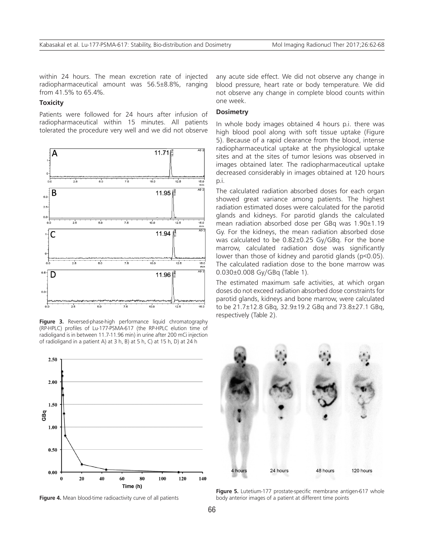within 24 hours. The mean excretion rate of injected radiopharmaceutical amount was 56.5±8.8%, ranging from 41.5% to 65.4%.

# **Toxicity**

Patients were followed for 24 hours after infusion of radiopharmaceutical within 15 minutes. All patients tolerated the procedure very well and we did not observe



**Figure 3.** Reversed-phase-high performance liquid chromatography (RP-HPLC) profiles of Lu-177-PSMA-617 (the RP-HPLC elution time of radioligand is in between 11.7-11.96 min) in urine after 200 mCi injection of radioligand in a patient A) at 3 h, B) at 5 h, C) at 15 h, D) at 24 h



**Figure 4.** Mean blood-time radioactivity curve of all patients

any acute side effect. We did not observe any change in blood pressure, heart rate or body temperature. We did not observe any change in complete blood counts within one week.

#### **Dosimetry**

In whole body images obtained 4 hours p.i. there was high blood pool along with soft tissue uptake (Figure 5). Because of a rapid clearance from the blood, intense radiopharmaceutical uptake at the physiological uptake sites and at the sites of tumor lesions was observed in images obtained later. The radiopharmaceutical uptake decreased considerably in images obtained at 120 hours p.i.

The calculated radiation absorbed doses for each organ showed great variance among patients. The highest radiation estimated doses were calculated for the parotid glands and kidneys. For parotid glands the calculated mean radiation absorbed dose per GBq was 1.90±1.19 Gy. For the kidneys, the mean radiation absorbed dose was calculated to be 0.82±0.25 Gy/GBq. For the bone marrow, calculated radiation dose was significantly lower than those of kidney and parotid glands (p<0.05). The calculated radiation dose to the bone marrow was 0.030±0.008 Gy/GBq (Table 1).

The estimated maximum safe activities, at which organ doses do not exceed radiation absorbed dose constraints for parotid glands, kidneys and bone marrow, were calculated to be 21.7±12.8 GBq, 32.9±19.2 GBq and 73.8±27.1 GBq, respectively (Table 2).



**Figure 5.** Lutetium-177 prostate-specific membrane antigen-617 whole body anterior images of a patient at different time points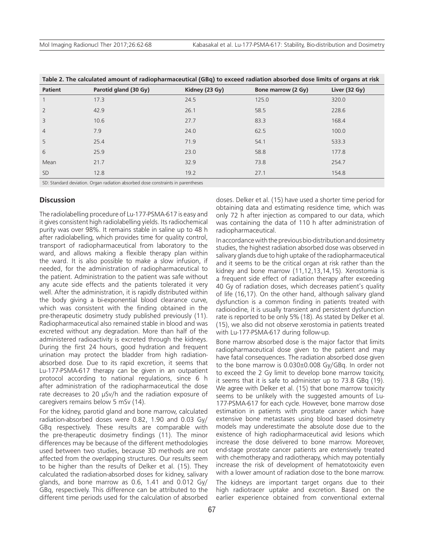| Table 2. The calculated amount of Taulopharmaceutical (GDG) to exceed Faulation absorbed dose immis of organs at hisk |                       |                |                    |               |  |  |  |  |  |
|-----------------------------------------------------------------------------------------------------------------------|-----------------------|----------------|--------------------|---------------|--|--|--|--|--|
| <b>Patient</b>                                                                                                        | Parotid gland (30 Gy) | Kidney (23 Gy) | Bone marrow (2 Gy) | Liver (32 Gy) |  |  |  |  |  |
| $\overline{1}$                                                                                                        | 17.3                  | 24.5           | 125.0              | 320.0         |  |  |  |  |  |
| $\overline{2}$                                                                                                        | 42.9                  | 26.1           | 58.5               | 228.6         |  |  |  |  |  |
| 3                                                                                                                     | 10.6                  | 27.7           | 83.3               | 168.4         |  |  |  |  |  |
| $\overline{4}$                                                                                                        | 7.9                   | 24.0           | 62.5               | 100.0         |  |  |  |  |  |
| 5                                                                                                                     | 25.4                  | 71.9           | 54.1               | 533.3         |  |  |  |  |  |
| 6                                                                                                                     | 25.9                  | 23.0           | 58.8               | 177.8         |  |  |  |  |  |
| Mean                                                                                                                  | 21.7                  | 32.9           | 73.8               | 254.7         |  |  |  |  |  |
| <b>SD</b>                                                                                                             | 12.8                  | 19.2           | 27.1               | 154.8         |  |  |  |  |  |
|                                                                                                                       |                       |                |                    |               |  |  |  |  |  |

**Table 2. The calculated amount of radiopharmaceutical (GBq) to exceed radiation absorbed dose limits of organs at risk**

SD: Standard deviation. Organ radiation absorbed dose constraints in parentheses

# **Discussion**

The radiolabelling procedure of Lu-177-PSMA-617 is easy and it gives consistent high radiolabelling yields. Its radiochemical purity was over 98%. It remains stable in saline up to 48 h after radiolabelling, which provides time for quality control, transport of radiopharmaceutical from laboratory to the ward, and allows making a flexible therapy plan within the ward. It is also possible to make a slow infusion, if needed, for the administration of radiopharmaceutical to the patient. Administration to the patient was safe without any acute side effects and the patients tolerated it very well. After the administration, it is rapidly distributed within the body giving a bi-exponential blood clearance curve, which was consistent with the finding obtained in the pre-therapeutic dosimetry study published previously (11). Radiopharmaceutical also remained stable in blood and was excreted without any degradation. More than half of the administered radioactivity is excreted through the kidneys. During the first 24 hours, good hydration and frequent urination may protect the bladder from high radiationabsorbed dose. Due to its rapid excretion, it seems that Lu-177-PSMA-617 therapy can be given in an outpatient protocol according to national regulations, since 6 h after administration of the radiopharmaceutical the dose rate decreases to 20 μSv/h and the radiation exposure of caregivers remains below 5 mSv (14).

For the kidney, parotid gland and bone marrow, calculated radiation-absorbed doses were 0.82, 1.90 and 0.03 Gy/ GBq respectively. These results are comparable with the pre-therapeutic dosimetry findings (11). The minor differences may be because of the different methodologies used between two studies, because 3D methods are not affected from the overlapping structures. Our results seem to be higher than the results of Delker et al. (15). They calculated the radiation-absorbed doses for kidney, salivary glands, and bone marrow as 0.6, 1.41 and 0.012 Gy/ GBq, respectively. This difference can be attributed to the different time periods used for the calculation of absorbed doses. Delker et al. (15) have used a shorter time period for obtaining data and estimating residence time, which was only 72 h after injection as compared to our data, which was containing the data of 110 h after administration of radiopharmaceutical.

In accordance with the previous bio-distribution and dosimetry studies, the highest radiation absorbed dose was observed in salivary glands due to high uptake of the radiopharmaceutical and it seems to be the critical organ at risk rather than the kidney and bone marrow (11,12,13,14,15). Xerostomia is a frequent side effect of radiation therapy after exceeding 40 Gy of radiation doses, which decreases patient's quality of life (16,17). On the other hand, although salivary gland dysfunction is a common finding in patients treated with radioiodine, it is usually transient and persistent dysfunction rate is reported to be only 5% (18). As stated by Delker et al. (15), we also did not observe xerostomia in patients treated with Lu-177-PSMA-617 during follow-up.

Bone marrow absorbed dose is the major factor that limits radiopharmaceutical dose given to the patient and may have fatal consequences. The radiation absorbed dose given to the bone marrow is 0.030±0.008 Gy/GBq. In order not to exceed the 2 Gy limit to develop bone marrow toxicity, it seems that it is safe to administer up to 73.8 GBq (19). We agree with Delker et al. (15) that bone marrow toxicity seems to be unlikely with the suggested amounts of Lu-177-PSMA-617 for each cycle. However, bone marrow dose estimation in patients with prostate cancer which have extensive bone metastases using blood based dosimetry models may underestimate the absolute dose due to the existence of high radiopharmaceutical avid lesions which increase the dose delivered to bone marrow. Moreover, end-stage prostate cancer patients are extensively treated with chemotherapy and radiotherapy, which may potentially increase the risk of development of hematotoxicity even with a lower amount of radiation dose to the bone marrow.

The kidneys are important target organs due to their high radiotracer uptake and excretion. Based on the earlier experience obtained from conventional external